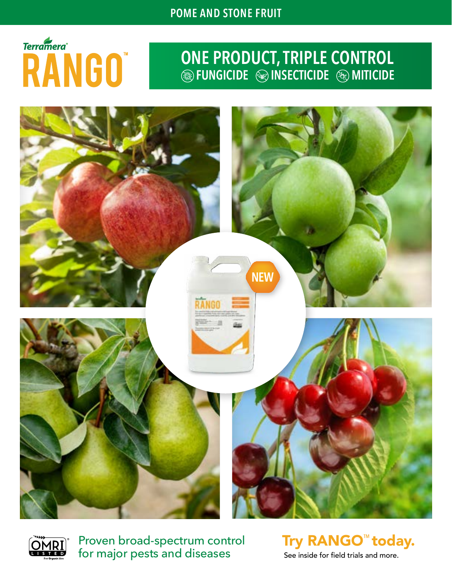# **Terramera**® RANGO"

### **ONE PRODUCT, TRIPLE CONTROL FUNGICIDE INSECTICIDE MITICIDE**





Proven broad-spectrum control for major pests and diseases

Try RANGO™ today. See inside for field trials and more.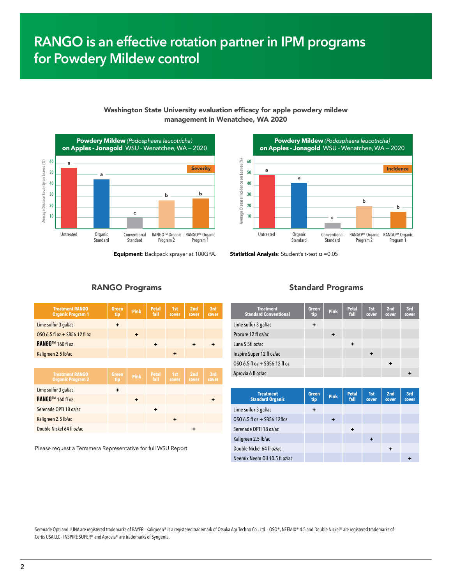### **RANGO is an effective rotation partner in IPM programs for Powdery Mildew control**



#### Washington State University evaluation efficacy for apple powdery mildew management in Wenatchee, WA 2020



**Equipment:** Backpack sprayer at 100GPA. **Statistical Analysis:** Student's t-test  $α = 0.05$ 

| <b>Treatment RANGO</b><br><b>Organic Program 1</b> | <b>Green</b><br>tip | <b>Pink</b> | <b>Petal</b><br>fall | 1st<br>cover | 2nd<br>cover | 3rd<br>cover |
|----------------------------------------------------|---------------------|-------------|----------------------|--------------|--------------|--------------|
| Lime sulfur 3 gal/ac                               | $\ddot{}$           |             |                      |              |              |              |
| OSO 6.5 fl oz + SB56 12 fl oz                      |                     | ٠           |                      |              |              |              |
| <b>RANGO™</b> 160 fl oz                            |                     |             | ٠                    |              | ٠            |              |
| Kaligreen 2.5 lb/ac                                |                     |             |                      | ٠            |              |              |
|                                                    |                     |             |                      |              |              |              |
| <b>Treatment RANGO</b><br><b>Organic Program 2</b> | <b>Green</b><br>tip | <b>Pink</b> | <b>Petal</b><br>fall | 1st<br>cover | 2nd<br>cover | 3rd<br>cover |
| Lime sulfur 3 gal/ac                               | ÷                   |             |                      |              |              |              |
| <b>RANGO™</b> 160 fl oz                            |                     | ٠           |                      |              |              |              |
| Serenade OPTI 18 oz/ac                             |                     |             | ٠                    |              |              |              |
| Kaligreen 2.5 lb/ac                                |                     |             |                      | ٠            |              |              |
| Double Nickel 64 fl oz/ac                          |                     |             |                      |              | ٠            |              |

Please request a Terramera Representative for full WSU Report.

#### RANGO Programs Standard Programs

| <b>Treatment RANGO</b><br><b>Organic Program 1</b> | <b>Green</b><br>tip | Pink                    | <b>Petal</b><br>fall | 1st<br>cover | 2nd<br>cover | 3rd<br>cover | <b>Treatment</b><br><b>Standard Conventional</b> | Green<br>tip | <b>Pink</b> | Petal<br>fall | 1st<br>cover | 2nd<br>cover | 3rd<br>cover |
|----------------------------------------------------|---------------------|-------------------------|----------------------|--------------|--------------|--------------|--------------------------------------------------|--------------|-------------|---------------|--------------|--------------|--------------|
| ur 3 gal/ac                                        | ٠                   |                         |                      |              |              |              | Lime sulfur 3 gal/ac                             | ٠            |             |               |              |              |              |
| $fl$ oz $+$ SB56 12 $fl$ oz                        |                     | $\ddot{}$               |                      |              |              |              | Procure 12 fl oz/ac                              |              | ٠           |               |              |              |              |
| $^{\text{M}}$ 160 fl oz                            |                     |                         | $\ddot{\phantom{1}}$ |              | ٠            | ٠            | Luna S 5fl oz/ac                                 |              |             | ٠             |              |              |              |
| 12.5 lb/ac                                         |                     |                         |                      | $\ddot{}$    |              |              | Inspire Super 12 fl oz/ac                        |              |             |               |              |              |              |
|                                                    |                     |                         |                      |              |              |              | OSO 6.5 fl oz + SB56 12 fl oz                    |              |             |               |              | ٠            |              |
| <b>Treatment RANGO</b><br>.                        | <b>Green</b>        | Pink P <sup>retal</sup> | <b>Petal</b>         | 1st          | 2nd          | 3rd          | Aprovia 6 fl oz/ac                               |              |             |               |              |              |              |

| <b>Treatment</b><br><b>Standard Organic</b> | <b>Green</b><br>tip | <b>Pink</b> | <b>Petal</b><br>fall | 1st<br>cover | 2nd<br>cover | 3rd<br>cover |
|---------------------------------------------|---------------------|-------------|----------------------|--------------|--------------|--------------|
| Lime sulfur 3 gal/ac                        | ٠                   |             |                      |              |              |              |
| OSO 6.5 fl oz + SB56 12floz                 |                     |             |                      |              |              |              |
| Serenade OPTI 18 oz/ac                      |                     |             | ٠                    |              |              |              |
| Kaligreen 2.5 lb/ac                         |                     |             |                      | ٠            |              |              |
| Double Nickel 64 fl oz/ac                   |                     |             |                      |              | ٠            |              |
| Neemix Neem Oil 10.5 fl oz/ac               |                     |             |                      |              |              |              |

Serenade Opti and LUNA are registered trademarks of BAYER · Kaligreen® is a registered trademark of Otsuka AgriTechno Co., Ltd. · OSO®, NEEMIX® 4.5 and Double Nickel® are registered trademarks of Certis USA LLC · INSPIRE SUPER® and Aprovia® are trademarks of Syngenta.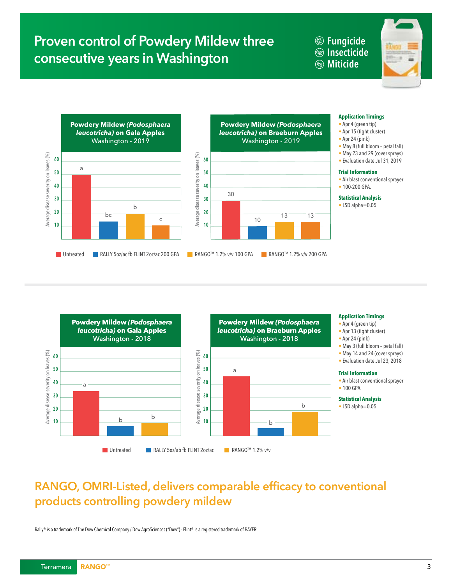### **Proven control of Powdery Mildew three consecutive years in Washington**

**Fungicide Insecticide Miticide**







#### **Application Timings**

- Apr 4 (green tip)
- Apr 15 (tight cluster)
- Apr 24 (pink)
- May 8 (full bloom petal fall)
- May 23 and 29 (cover sprays)
- Evaluation date Jul 31, 2019

#### **Trial Information**

- Air blast conventional sprayer
- 100-200 GPA.

#### **Statistical Analysis**

• LSD alpha=0.05



### **RANGO, OMRI-Listed, delivers comparable efficacy to conventional products controlling powdery mildew**

Rally® is a trademark of The Dow Chemical Company / Dow AgroSciences ("Dow") · Flint® is a registered trademark of BAYER.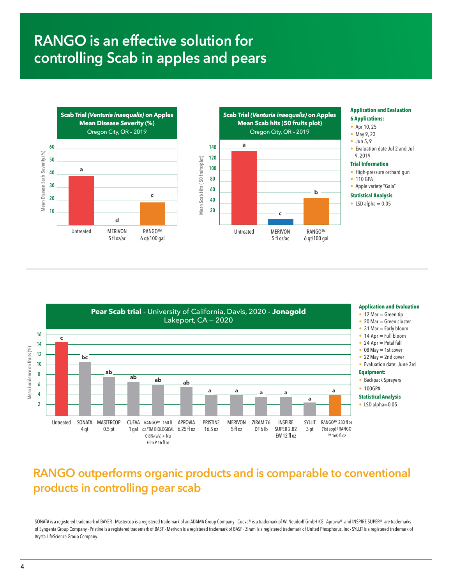### **RANGO is an effective solution for controlling Scab in apples and pears**





#### **Application and Evaluation 6 Applications:**

- Apr 10, 25
- May 9, 23
- Jun 5.9
- Evaluation date Jul 2 and Jul 9, 2019

#### **Trial Information**

- High-pressure orchard gun
- 110 GPA
- Apple variety "Gala"
- **Statistical Analysis**
- $\bullet$  LSD alpha = 0.05



### **RANGO outperforms organic products and is comparable to conventional products in controlling pear scab**

SONATA is a registered trademark of BAYER · Mastercop is a registered trademark of an ADAMA Group Company · Cueva® is a trademark of W. Neudorff GmbH KG · Aprovia® and INSPIRE SUPER® are trademarks of Syngenta Group Company · Pristine is a registered trademark of BASF · Merivon is a registered trademark of BASF · Ziram is a registered trademark of United Phosphorus, Inc · SYLLIT is a registered trademark of Arysta LifeScience Group Company.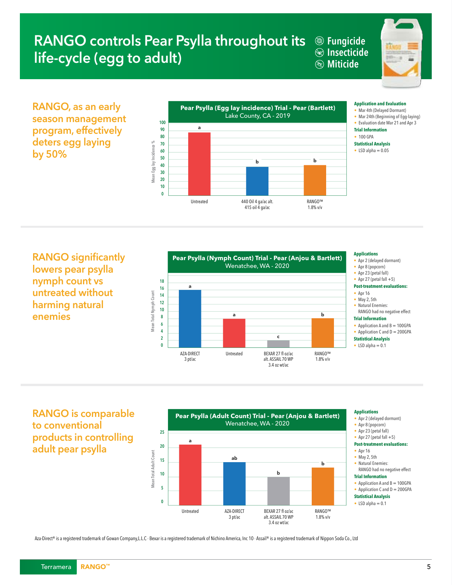### **RANGO controls Pear Psylla throughout its @ Fungicide life-cycle (egg to adult)**

**Insecticide Miticide Trial Information** • No phytotoxicity observed.

• **RANGO™**



**Application and Evaluation by 50% RANGO, as an early season management program, effectively deters egg laying** 



 $A \cap \bigcap_{i=1}^n A_i$ **RANGO significantly** ore noor nevllo i lowers pear psylla **Trial Information nymph count vs**  • 100 GPA **Statistical Analysis untreated without**  harming natural **enemies**



### • Apr 2 (delayed dormant)

- Apr 8 (popcorn)
- Apr 23 (petal fall)
- Apr 27 (petal fall  $+5$ )

#### **Post-treatment evaluations:**

- Apr 16
- May 2, 5th
- Natural Enemies: RANGO had no negative effect
- **Trial Information**
- Application A and B = 100GPA • Application C and  $D = 200GPA$
- **Statistical Analysis**
- LSD alpha  $= 0.1$

**Applications RANGO is comparable**  $\bullet$   $\bullet$   $\bullet$   $\bullet$   $\bullet$ to conventional • Apr 23 (petal fall) products in controlling **Post-treatment evaluations:**  adult pear psylla **Pear Psylla (Nymph Count) Trial - Pear (Anjou & Bartlett)**



#### **Applications**

- Apr 2 (delayed dormant)
- Apr 8 (popcorn)
- Apr 23 (petal fall)
- Apr 27 (petal fall  $+5$ )
- **Post-treatment evaluations:**
- Apr 16
- May 2, 5th
- Natural Enemies: RANGO had no negative effect



- Application A and B = 100GPA • Application C and  $D = 200GPA$
- **Statistical Analysis**
- LSD alpha  $= 0.1$

Aza-Direct® is a registered trademark of Gowan Company,L.L.C · Bexar is a registered trademark of Nichino America, Inc 10 · Assail® is a registered trademark of Nippon Soda Co., Ltd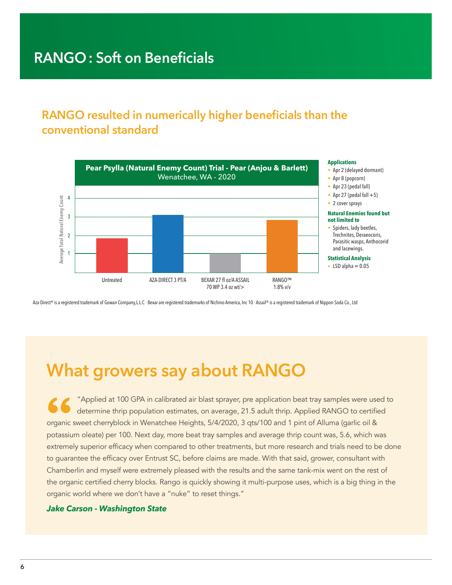### **RANGO resulted in numerically higher beneficials than the conventional standard**



Aza-Direct® is a registered trademark of Gowan Company,L.L.C · Bexar are registered trademarks of Nichino America, Inc 10 · Assail® is a registered trademark of Nippon Soda Co., Ltd

## **What growers say about RANGO**

"Applied at 100 GPA in calibrated air blast sprayer, pre application beat tray samples were used to determine thrip population estimates, on average, 21.5 adult thrip. Applied RANGO to certified organic sweet cherryblock in Wenatchee Heights, 5/4/2020, 3 qts/100 and 1 pint of Alluma (garlic oil & potassium oleate) per 100. Next day, more beat tray samples and average thrip count was, 5.6, which was extremely superior efficacy when compared to other treatments, but more research and trials need to be done to guarantee the efficacy over Entrust SC, before claims are made. With that said, grower, consultant with Chamberlin and myself were extremely pleased with the results and the same tank-mix went on the rest of the organic certified cherry blocks. Rango is quickly showing it multi-purpose uses, which is a big thing in the organic world where we don't have a "nuke" to reset things."

#### *Jake Carson - Washington State*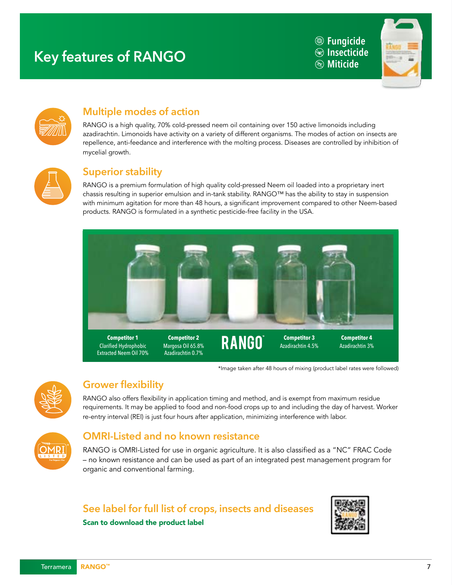### **Miticide Key features of RANGO**

**Fungicide <b>B** Insecticide<br>& Miticide





### **Multiple modes of action**

RANGO is a high quality, 70% cold-pressed neem oil containing over 150 active limonoids including azadirachtin. Limonoids have activity on a variety of different organisms. The modes of action on insects are repellence, anti-feedance and interference with the molting process. Diseases are controlled by inhibition of mycelial growth.



#### **Superior stability SUPERIOR STABILITY: SUPERIOR STABILITY:**

RANGO is a premium formulation of high quality cold-pressed Neem oil loaded into a proprietary inert chassis resulting in superior emulsion and in-tank stability. RANGO™ has the ability to stay in suspension with minimum agitation for more than 48 hours, a significant improvement compared to other Neem-based products. RANGO is formulated in a synthetic pesticide-free facility in the USA. **GROWER FLEXIBILITY:**



\*Image taken after 48 hours of mixing (product label rates were followed)



### **Grower flexibility**

suspension stability for over 48 hours.

RANGO also offers flexibility in application timing and method, and is exempt from maximum residue by the state of harvest with the state of the state of the state of the state of the state of the state of the state of the requirements. It may be applied to food and non-food crops up to and including the day of harvest. Worker requirements: it may be applied to rood and non-rood crops up to and installing the day of re-entry interval (REI) is just four hours after application, minimizing interference with labor. To a 100 also driew itemshiry **GRANCO** class offices flavib



### **OMRI-Listed and no known resistance**

RANGO is OMRI-Listed for use in organic agriculture. It is also classified as a "NC" FRAC Code - no known resistance and can be used as part of an integrated pest management program for organic and conventional farming.

### **See label for full list of crops, insects and diseases**

Scan to download the product label